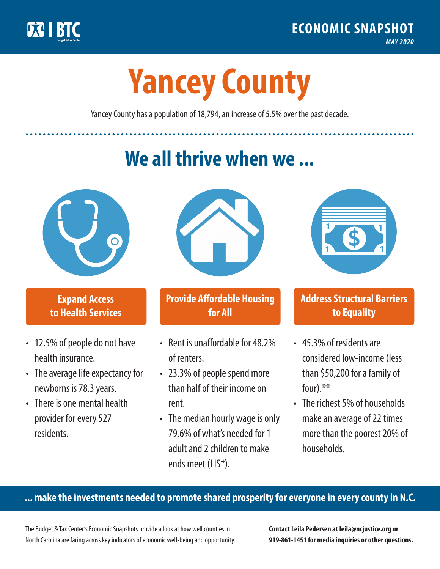

**1**

# **Yancey County**

Yancey County has a population of 18,794, an increase of 5.5% over the past decade.

# **We all thrive when we ...**



**\$ <sup>1</sup>**

**\$ <sup>1</sup>**

## **Expand Access to Health Services**

- 12.5% of people do not have health insurance.
- The average life expectancy for newborns is 78.3 years.
- There is one mental health provider for every 527 residents.



## **Provide Affordable Housing for All**

- Rent is unaffordable for 48 2% of renters.
- 23.3% of people spend more than half of their income on rent.
- The median hourly wage is only 79.6% of what's needed for 1 adult and 2 children to make ends meet (LIS\*).



## **Address Structural Barriers to Equality**

- 45.3% of residents are considered low-income (less than \$50,200 for a family of four).\*\*
- The richest 5% of households make an average of 22 times more than the poorest 20% of households.

#### **... make the investments needed to promote shared prosperity for everyone in every county in N.C.**

The Budget & Tax Center's Economic Snapshots provide a look at how well counties in North Carolina are faring across key indicators of economic well-being and opportunity.